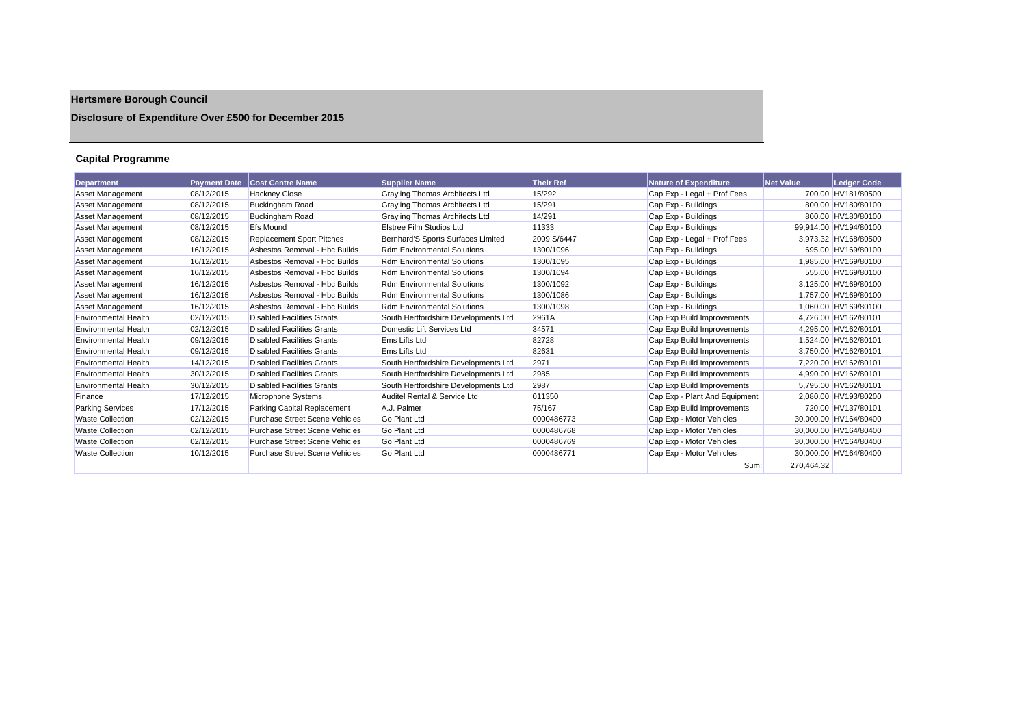# **Hertsmere Borough Council**

## **Disclosure of Expenditure Over £500 for December 2015**

## **Capital Programme**

| <b>Department</b>           | <b>Payment Date</b> | <b>Cost Centre Name</b>               | <b>Supplier Name</b>                  | <b>Their Ref</b> | <b>Nature of Expenditure</b>  | <b>Net Value</b> | Ledger Code           |
|-----------------------------|---------------------|---------------------------------------|---------------------------------------|------------------|-------------------------------|------------------|-----------------------|
| <b>Asset Management</b>     | 08/12/2015          | <b>Hackney Close</b>                  | <b>Grayling Thomas Architects Ltd</b> | 15/292           | Cap Exp - Legal + Prof Fees   |                  | 700.00 HV181/80500    |
| Asset Management            | 08/12/2015          | <b>Buckingham Road</b>                | <b>Grayling Thomas Architects Ltd</b> | 15/291           | Cap Exp - Buildings           |                  | 800.00 HV180/80100    |
| <b>Asset Management</b>     | 08/12/2015          | <b>Buckingham Road</b>                | <b>Grayling Thomas Architects Ltd</b> | 14/291           | Cap Exp - Buildings           |                  | 800.00 HV180/80100    |
| <b>Asset Management</b>     | 08/12/2015          | <b>Efs Mound</b>                      | <b>Elstree Film Studios Ltd</b>       | 11333            | Cap Exp - Buildings           |                  | 99.914.00 HV194/80100 |
| <b>Asset Management</b>     | 08/12/2015          | <b>Replacement Sport Pitches</b>      | Bernhard'S Sports Surfaces Limited    | 2009 S/6447      | Cap Exp - Legal + Prof Fees   |                  | 3.973.32 HV168/80500  |
| <b>Asset Management</b>     | 16/12/2015          | Asbestos Removal - Hbc Builds         | <b>Rdm Environmental Solutions</b>    | 1300/1096        | Cap Exp - Buildings           |                  | 695.00 HV169/80100    |
| <b>Asset Management</b>     | 16/12/2015          | Asbestos Removal - Hbc Builds         | <b>Rdm Environmental Solutions</b>    | 1300/1095        | Cap Exp - Buildings           |                  | 1.985.00 HV169/80100  |
| <b>Asset Management</b>     | 16/12/2015          | Asbestos Removal - Hbc Builds         | <b>Rdm Environmental Solutions</b>    | 1300/1094        | Cap Exp - Buildings           |                  | 555.00 HV169/80100    |
| Asset Management            | 16/12/2015          | Asbestos Removal - Hbc Builds         | <b>Rdm Environmental Solutions</b>    | 1300/1092        | Cap Exp - Buildings           |                  | 3.125.00 HV169/80100  |
| <b>Asset Management</b>     | 16/12/2015          | Asbestos Removal - Hbc Builds         | <b>Rdm Environmental Solutions</b>    | 1300/1086        | Cap Exp - Buildings           |                  | 1,757.00 HV169/80100  |
| <b>Asset Management</b>     | 16/12/2015          | Asbestos Removal - Hbc Builds         | <b>Rdm Environmental Solutions</b>    | 1300/1098        | Cap Exp - Buildings           |                  | 1.060.00 HV169/80100  |
| <b>Environmental Health</b> | 02/12/2015          | <b>Disabled Facilities Grants</b>     | South Hertfordshire Developments Ltd  | 2961A            | Cap Exp Build Improvements    |                  | 4,726.00 HV162/80101  |
| <b>Environmental Health</b> | 02/12/2015          | <b>Disabled Facilities Grants</b>     | Domestic Lift Services Ltd            | 34571            | Cap Exp Build Improvements    |                  | 4.295.00 HV162/80101  |
| <b>Environmental Health</b> | 09/12/2015          | <b>Disabled Facilities Grants</b>     | <b>Ems Lifts Ltd</b>                  | 82728            | Cap Exp Build Improvements    |                  | 1,524.00 HV162/80101  |
| <b>Environmental Health</b> | 09/12/2015          | <b>Disabled Facilities Grants</b>     | <b>Ems Lifts Ltd</b>                  | 82631            | Cap Exp Build Improvements    |                  | 3,750.00 HV162/80101  |
| <b>Environmental Health</b> | 14/12/2015          | <b>Disabled Facilities Grants</b>     | South Hertfordshire Developments Ltd  | 2971             | Cap Exp Build Improvements    |                  | 7.220.00 HV162/80101  |
| <b>Environmental Health</b> | 30/12/2015          | <b>Disabled Facilities Grants</b>     | South Hertfordshire Developments Ltd  | 2985             | Cap Exp Build Improvements    |                  | 4,990.00 HV162/80101  |
| <b>Environmental Health</b> | 30/12/2015          | <b>Disabled Facilities Grants</b>     | South Hertfordshire Developments Ltd  | 2987             | Cap Exp Build Improvements    |                  | 5,795.00 HV162/80101  |
| Finance                     | 17/12/2015          | Microphone Systems                    | Auditel Rental & Service Ltd          | 011350           | Cap Exp - Plant And Equipment |                  | 2,080.00 HV193/80200  |
| <b>Parking Services</b>     | 17/12/2015          | Parking Capital Replacement           | A.J. Palmer                           | 75/167           | Cap Exp Build Improvements    |                  | 720.00 HV137/80101    |
| <b>Waste Collection</b>     | 02/12/2015          | <b>Purchase Street Scene Vehicles</b> | Go Plant Ltd                          | 0000486773       | Cap Exp - Motor Vehicles      |                  | 30.000.00 HV164/80400 |
| <b>Waste Collection</b>     | 02/12/2015          | <b>Purchase Street Scene Vehicles</b> | <b>Go Plant Ltd</b>                   | 0000486768       | Cap Exp - Motor Vehicles      |                  | 30,000.00 HV164/80400 |
| <b>Waste Collection</b>     | 02/12/2015          | <b>Purchase Street Scene Vehicles</b> | <b>Go Plant Ltd</b>                   | 0000486769       | Cap Exp - Motor Vehicles      |                  | 30,000.00 HV164/80400 |
| <b>Waste Collection</b>     | 10/12/2015          | <b>Purchase Street Scene Vehicles</b> | <b>Go Plant Ltd</b>                   | 0000486771       | Cap Exp - Motor Vehicles      |                  | 30,000.00 HV164/80400 |
|                             |                     |                                       |                                       |                  | Sum:                          | 270.464.32       |                       |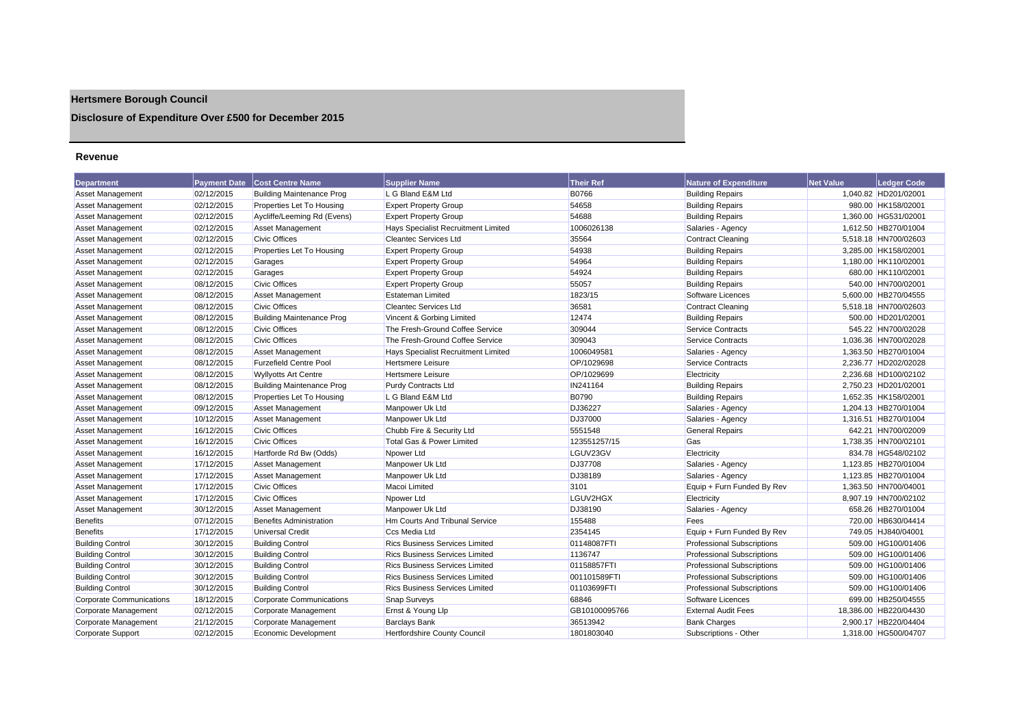## **Hertsmere Borough Council**

## **Disclosure of Expenditure Over £500 for December 2015**

#### **Revenue**

| <b>Department</b>               | <b>Payment Date</b> | <b>Cost Centre Name</b>          | <b>Supplier Name</b>                  | <b>Their Ref</b> | <b>Nature of Expenditure</b>      | <b>Net Value</b> | <b>Ledger Code</b>    |
|---------------------------------|---------------------|----------------------------------|---------------------------------------|------------------|-----------------------------------|------------------|-----------------------|
| <b>Asset Management</b>         | 02/12/2015          | <b>Building Maintenance Prog</b> | L G Bland E&M Ltd                     | <b>B0766</b>     | <b>Building Repairs</b>           |                  | 1,040.82 HD201/02001  |
| <b>Asset Management</b>         | 02/12/2015          | Properties Let To Housing        | <b>Expert Property Group</b>          | 54658            | <b>Building Repairs</b>           |                  | 980.00 HK158/02001    |
| Asset Management                | 02/12/2015          | Aycliffe/Leeming Rd (Evens)      | <b>Expert Property Group</b>          | 54688            | <b>Building Repairs</b>           |                  | 1,360.00 HG531/02001  |
| Asset Management                | 02/12/2015          | Asset Management                 | Hays Specialist Recruitment Limited   | 1006026138       | Salaries - Agency                 |                  | 1,612.50 HB270/01004  |
| Asset Management                | 02/12/2015          | <b>Civic Offices</b>             | <b>Cleantec Services Ltd</b>          | 35564            | <b>Contract Cleaning</b>          |                  | 5,518.18 HN700/02603  |
| Asset Management                | 02/12/2015          | Properties Let To Housing        | <b>Expert Property Group</b>          | 54938            | <b>Building Repairs</b>           |                  | 3,285.00 HK158/02001  |
| Asset Management                | 02/12/2015          | Garages                          | <b>Expert Property Group</b>          | 54964            | <b>Building Repairs</b>           |                  | 1.180.00 HK110/02001  |
| Asset Management                | 02/12/2015          | Garages                          | <b>Expert Property Group</b>          | 54924            | <b>Building Repairs</b>           |                  | 680.00 HK110/02001    |
| <b>Asset Management</b>         | 08/12/2015          | <b>Civic Offices</b>             | <b>Expert Property Group</b>          | 55057            | <b>Building Repairs</b>           |                  | 540.00 HN700/02001    |
| Asset Management                | 08/12/2015          | Asset Management                 | <b>Estateman Limited</b>              | 1823/15          | Software Licences                 |                  | 5.600.00 HB270/04555  |
| Asset Management                | 08/12/2015          | <b>Civic Offices</b>             | <b>Cleantec Services Ltd</b>          | 36581            | <b>Contract Cleaning</b>          |                  | 5,518.18 HN700/02603  |
| Asset Management                | 08/12/2015          | <b>Building Maintenance Prog</b> | Vincent & Gorbing Limited             | 12474            | <b>Building Repairs</b>           |                  | 500.00 HD201/02001    |
| Asset Management                | 08/12/2015          | <b>Civic Offices</b>             | The Fresh-Ground Coffee Service       | 309044           | <b>Service Contracts</b>          |                  | 545.22 HN700/02028    |
| <b>Asset Management</b>         | 08/12/2015          | <b>Civic Offices</b>             | The Fresh-Ground Coffee Service       | 309043           | <b>Service Contracts</b>          |                  | 1,036.36 HN700/02028  |
| Asset Management                | 08/12/2015          | Asset Management                 | Hays Specialist Recruitment Limited   | 1006049581       | Salaries - Agency                 |                  | 1,363.50 HB270/01004  |
| Asset Management                | 08/12/2015          | <b>Furzefield Centre Pool</b>    | <b>Hertsmere Leisure</b>              | OP/1029698       | <b>Service Contracts</b>          |                  | 2,236.77 HD202/02028  |
| <b>Asset Management</b>         | 08/12/2015          | <b>Wyllyotts Art Centre</b>      | <b>Hertsmere Leisure</b>              | OP/1029699       | Electricity                       |                  | 2,236.68 HD100/02102  |
| Asset Management                | 08/12/2015          | <b>Building Maintenance Prog</b> | <b>Purdy Contracts Ltd</b>            | IN241164         | <b>Building Repairs</b>           |                  | 2,750.23 HD201/02001  |
| <b>Asset Management</b>         | 08/12/2015          | Properties Let To Housing        | L G Bland E&M Ltd                     | <b>B0790</b>     | <b>Building Repairs</b>           |                  | 1,652.35 HK158/02001  |
| <b>Asset Management</b>         | 09/12/2015          | Asset Management                 | Manpower Uk Ltd                       | DJ36227          | Salaries - Agency                 |                  | 1,204.13 HB270/01004  |
| <b>Asset Management</b>         | 10/12/2015          | <b>Asset Management</b>          | Manpower Uk Ltd                       | <b>DJ37000</b>   | Salaries - Agency                 |                  | 1,316.51 HB270/01004  |
| <b>Asset Management</b>         | 16/12/2015          | <b>Civic Offices</b>             | Chubb Fire & Security Ltd             | 5551548          | <b>General Repairs</b>            |                  | 642.21 HN700/02009    |
| Asset Management                | 16/12/2015          | <b>Civic Offices</b>             | Total Gas & Power Limited             | 123551257/15     | Gas                               |                  | 1,738.35 HN700/02101  |
| <b>Asset Management</b>         | 16/12/2015          | Hartforde Rd Bw (Odds)           | Npower Ltd                            | LGUV23GV         | Electricity                       |                  | 834.78 HG548/02102    |
| <b>Asset Management</b>         | 17/12/2015          | <b>Asset Management</b>          | Manpower Uk Ltd                       | <b>DJ37708</b>   | Salaries - Agency                 |                  | 1,123.85 HB270/01004  |
| Asset Management                | 17/12/2015          | Asset Management                 | Manpower Uk Ltd                       | DJ38189          | Salaries - Agency                 |                  | 1,123.85 HB270/01004  |
| Asset Management                | 17/12/2015          | <b>Civic Offices</b>             | Macoi Limited                         | 3101             | Equip + Furn Funded By Rev        |                  | 1,363.50 HN700/04001  |
| <b>Asset Management</b>         | 17/12/2015          | <b>Civic Offices</b>             | Npower Ltd                            | LGUV2HGX         | Electricity                       |                  | 8,907.19 HN700/02102  |
| Asset Management                | 30/12/2015          | Asset Management                 | Manpower Uk Ltd                       | DJ38190          | Salaries - Agency                 |                  | 658.26 HB270/01004    |
| <b>Benefits</b>                 | 07/12/2015          | <b>Benefits Administration</b>   | <b>Hm Courts And Tribunal Service</b> | 155488           | Fees                              |                  | 720.00 HB630/04414    |
| <b>Benefits</b>                 | 17/12/2015          | Universal Credit                 | <b>Ccs Media Ltd</b>                  | 2354145          | Equip + Furn Funded By Rev        |                  | 749.05 HJ840/04001    |
| <b>Building Control</b>         | 30/12/2015          | <b>Building Control</b>          | <b>Rics Business Services Limited</b> | 01148087FTI      | <b>Professional Subscriptions</b> |                  | 509.00 HG100/01406    |
| <b>Building Control</b>         | 30/12/2015          | <b>Building Control</b>          | <b>Rics Business Services Limited</b> | 1136747          | <b>Professional Subscriptions</b> |                  | 509.00 HG100/01406    |
| <b>Building Control</b>         | 30/12/2015          | <b>Building Control</b>          | <b>Rics Business Services Limited</b> | 01158857FTI      | <b>Professional Subscriptions</b> |                  | 509.00 HG100/01406    |
| <b>Building Control</b>         | 30/12/2015          | <b>Building Control</b>          | <b>Rics Business Services Limited</b> | 001101589FT      | <b>Professional Subscriptions</b> |                  | 509.00 HG100/01406    |
| <b>Building Control</b>         | 30/12/2015          | <b>Building Control</b>          | <b>Rics Business Services Limited</b> | 01103699FTI      | <b>Professional Subscriptions</b> |                  | 509.00 HG100/01406    |
| <b>Corporate Communications</b> | 18/12/2015          | Corporate Communications         | <b>Snap Surveys</b>                   | 68846            | Software Licences                 |                  | 699.00 HB250/04555    |
| Corporate Management            | 02/12/2015          | Corporate Management             | Ernst & Young Llp                     | GB10100095766    | <b>External Audit Fees</b>        |                  | 18,386.00 HB220/04430 |
| Corporate Management            | 21/12/2015          | Corporate Management             | <b>Barclays Bank</b>                  | 36513942         | <b>Bank Charges</b>               |                  | 2,900.17 HB220/04404  |
| <b>Corporate Support</b>        | 02/12/2015          | Economic Development             | <b>Hertfordshire County Council</b>   | 1801803040       | Subscriptions - Other             |                  | 1,318.00 HG500/04707  |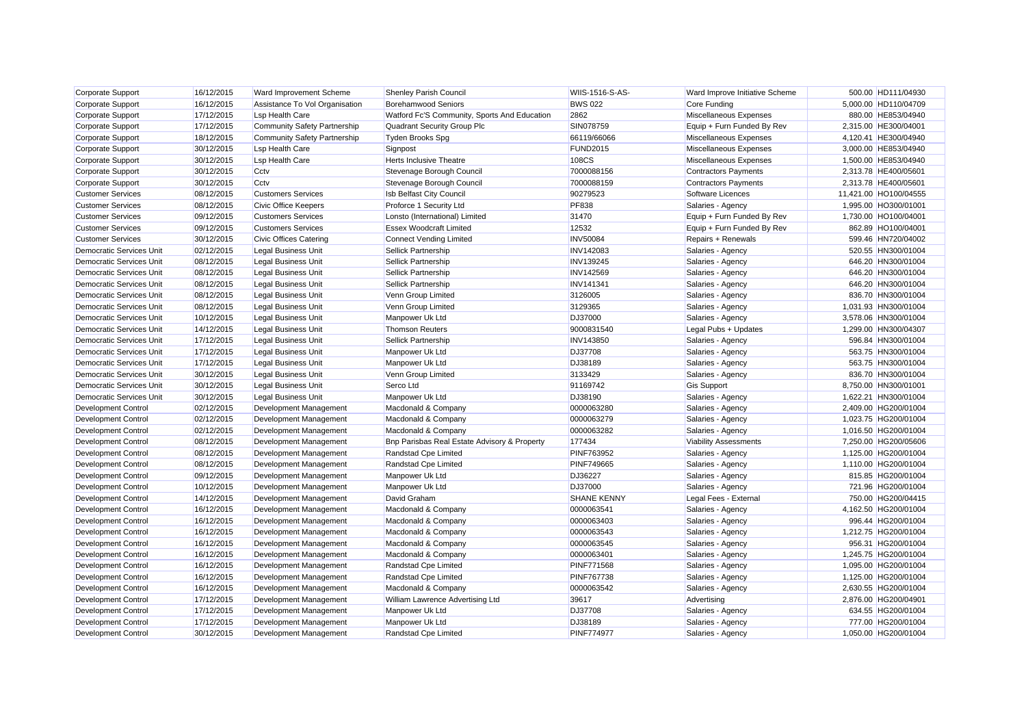| Corporate Support               | 16/12/2015 | Ward Improvement Scheme        | Shenley Parish Council                       | <b>WIIS-1516-S-AS-</b> | Ward Improve Initiative Scheme | 500.00 HD111/04930    |
|---------------------------------|------------|--------------------------------|----------------------------------------------|------------------------|--------------------------------|-----------------------|
| Corporate Support               | 16/12/2015 | Assistance To Vol Organisation | <b>Borehamwood Seniors</b>                   | <b>BWS 022</b>         | Core Funding                   | 5,000.00 HD110/04709  |
| Corporate Support               | 17/12/2015 | <b>Lsp Health Care</b>         | Watford Fc'S Community, Sports And Education | 2862                   | Miscellaneous Expenses         | 880.00 HE853/04940    |
| Corporate Support               | 17/12/2015 | Community Safety Partnership   | Quadrant Security Group Plc                  | SIN078759              | Equip + Furn Funded By Rev     | 2,315.00 HE300/04001  |
| Corporate Support               | 18/12/2015 | Community Safety Partnership   | <b>Tyden Brooks Spg</b>                      | 66119/66066            | Miscellaneous Expenses         | 4,120.41 HE300/04940  |
| <b>Corporate Support</b>        | 30/12/2015 | <b>Lsp Health Care</b>         | Signpost                                     | <b>FUND2015</b>        | Miscellaneous Expenses         | 3,000.00 HE853/04940  |
| <b>Corporate Support</b>        | 30/12/2015 | <b>Lsp Health Care</b>         | Herts Inclusive Theatre                      | 108CS                  | Miscellaneous Expenses         | 1.500.00 HE853/04940  |
| Corporate Support               | 30/12/2015 | Cctv                           | Stevenage Borough Council                    | 7000088156             | <b>Contractors Payments</b>    | 2,313.78 HE400/05601  |
| Corporate Support               | 30/12/2015 | Cctv                           | Stevenage Borough Council                    | 7000088159             | <b>Contractors Payments</b>    | 2,313.78 HE400/05601  |
| <b>Customer Services</b>        | 08/12/2015 | <b>Customers Services</b>      | Isb Belfast City Council                     | 90279523               | Software Licences              | 11,421.00 HO100/04555 |
| <b>Customer Services</b>        | 08/12/2015 | <b>Civic Office Keepers</b>    | Proforce 1 Security Ltd                      | <b>PF838</b>           | Salaries - Agency              | 1,995.00 HO300/01001  |
| <b>Customer Services</b>        | 09/12/2015 | <b>Customers Services</b>      |                                              | 31470                  | Equip + Furn Funded By Rev     | 1,730.00 HO100/04001  |
|                                 |            | <b>Customers Services</b>      | Lonsto (International) Limited               | 12532                  |                                |                       |
| <b>Customer Services</b>        | 09/12/2015 |                                | <b>Essex Woodcraft Limited</b>               |                        | Equip + Furn Funded By Rev     | 862.89 HO100/04001    |
| <b>Customer Services</b>        | 30/12/2015 | <b>Civic Offices Catering</b>  | <b>Connect Vending Limited</b>               | <b>INV50084</b>        | Repairs + Renewals             | 599.46 HN720/04002    |
| <b>Democratic Services Unit</b> | 02/12/2015 | <b>Legal Business Unit</b>     | Sellick Partnership                          | <b>INV142083</b>       | Salaries - Agency              | 520.55 HN300/01004    |
| <b>Democratic Services Unit</b> | 08/12/2015 | <b>Legal Business Unit</b>     | Sellick Partnership                          | <b>INV139245</b>       | Salaries - Agency              | 646.20 HN300/01004    |
| Democratic Services Unit        | 08/12/2015 | <b>Legal Business Unit</b>     | Sellick Partnership                          | <b>INV142569</b>       | Salaries - Agency              | 646.20 HN300/01004    |
| <b>Democratic Services Unit</b> | 08/12/2015 | <b>Legal Business Unit</b>     | <b>Sellick Partnership</b>                   | <b>INV141341</b>       | Salaries - Agency              | 646.20 HN300/01004    |
| <b>Democratic Services Unit</b> | 08/12/2015 | <b>Legal Business Unit</b>     | Venn Group Limited                           | 3126005                | Salaries - Agency              | 836.70 HN300/01004    |
| Democratic Services Unit        | 08/12/2015 | <b>Legal Business Unit</b>     | Venn Group Limited                           | 3129365                | Salaries - Agency              | 1,031.93 HN300/01004  |
| <b>Democratic Services Unit</b> | 10/12/2015 | <b>Legal Business Unit</b>     | Manpower Uk Ltd                              | <b>DJ37000</b>         | Salaries - Agency              | 3,578.06 HN300/01004  |
| <b>Democratic Services Unit</b> | 14/12/2015 | <b>Legal Business Unit</b>     | <b>Thomson Reuters</b>                       | 9000831540             | Legal Pubs + Updates           | 1,299.00 HN300/04307  |
| Democratic Services Unit        | 17/12/2015 | <b>Legal Business Unit</b>     | Sellick Partnership                          | <b>INV143850</b>       | Salaries - Agency              | 596.84 HN300/01004    |
| <b>Democratic Services Unit</b> | 17/12/2015 | <b>Legal Business Unit</b>     | Manpower Uk Ltd                              | <b>DJ37708</b>         | Salaries - Agency              | 563.75 HN300/01004    |
| <b>Democratic Services Unit</b> | 17/12/2015 | <b>Legal Business Unit</b>     | Manpower Uk Ltd                              | DJ38189                | Salaries - Agency              | 563.75 HN300/01004    |
| <b>Democratic Services Unit</b> | 30/12/2015 | <b>Legal Business Unit</b>     | Venn Group Limited                           | 3133429                | Salaries - Agency              | 836.70 HN300/01004    |
| <b>Democratic Services Unit</b> | 30/12/2015 | <b>Legal Business Unit</b>     | Serco Ltd                                    | 91169742               | <b>Gis Support</b>             | 8,750.00 HN300/01001  |
| Democratic Services Unit        | 30/12/2015 | <b>Legal Business Unit</b>     | Manpower Uk Ltd                              | DJ38190                | Salaries - Agency              | 1,622.21 HN300/01004  |
| <b>Development Control</b>      | 02/12/2015 | Development Management         | Macdonald & Company                          | 0000063280             | Salaries - Agency              | 2,409.00 HG200/01004  |
| <b>Development Control</b>      | 02/12/2015 | Development Management         | Macdonald & Company                          | 0000063279             | Salaries - Agency              | 1,023.75 HG200/01004  |
| Development Control             | 02/12/2015 | Development Management         | Macdonald & Company                          | 0000063282             | Salaries - Agency              | 1,016.50 HG200/01004  |
| <b>Development Control</b>      | 08/12/2015 | Development Management         | Bnp Parisbas Real Estate Advisory & Property | 177434                 | <b>Viability Assessments</b>   | 7,250.00 HG200/05606  |
| <b>Development Control</b>      | 08/12/2015 | Development Management         | Randstad Cpe Limited                         | <b>PINF763952</b>      | Salaries - Agency              | 1,125.00 HG200/01004  |
| <b>Development Control</b>      | 08/12/2015 | Development Management         | Randstad Cpe Limited                         | <b>PINF749665</b>      | Salaries - Agency              | 1,110.00 HG200/01004  |
| Development Control             | 09/12/2015 | Development Management         | Manpower Uk Ltd                              | DJ36227                | Salaries - Agency              | 815.85 HG200/01004    |
| <b>Development Control</b>      | 10/12/2015 | Development Management         | Manpower Uk Ltd                              | <b>DJ37000</b>         | Salaries - Agency              | 721.96 HG200/01004    |
| <b>Development Control</b>      | 14/12/2015 | Development Management         | David Graham                                 | <b>SHANE KENNY</b>     | Legal Fees - External          | 750.00 HG200/04415    |
| <b>Development Control</b>      | 16/12/2015 | Development Management         | Macdonald & Company                          | 0000063541             | Salaries - Agency              | 4,162.50 HG200/01004  |
| <b>Development Control</b>      | 16/12/2015 | Development Management         | Macdonald & Company                          | 0000063403             | Salaries - Agency              | 996.44 HG200/01004    |
| <b>Development Control</b>      | 16/12/2015 | Development Management         | Macdonald & Company                          | 0000063543             | Salaries - Agency              | 1,212.75 HG200/01004  |
| <b>Development Control</b>      | 16/12/2015 | Development Management         | Macdonald & Company                          | 0000063545             | Salaries - Agency              | 956.31 HG200/01004    |
| <b>Development Control</b>      | 16/12/2015 | Development Management         | Macdonald & Company                          | 0000063401             | Salaries - Agency              | 1,245.75 HG200/01004  |
| <b>Development Control</b>      | 16/12/2015 | Development Management         | Randstad Cpe Limited                         | <b>PINF771568</b>      | Salaries - Agency              | 1,095.00 HG200/01004  |
| Development Control             | 16/12/2015 | Development Management         | Randstad Cpe Limited                         | <b>PINF767738</b>      | Salaries - Agency              | 1,125.00 HG200/01004  |
| <b>Development Control</b>      | 16/12/2015 | Development Management         | Macdonald & Company                          | 0000063542             | Salaries - Agency              | 2,630.55 HG200/01004  |
| <b>Development Control</b>      | 17/12/2015 | Development Management         | William Lawrence Advertising Ltd             | 39617                  | Advertising                    | 2,876.00 HG200/04901  |
| <b>Development Control</b>      | 17/12/2015 | Development Management         | Manpower Uk Ltd                              | <b>DJ37708</b>         | Salaries - Agency              | 634.55 HG200/01004    |
| <b>Development Control</b>      | 17/12/2015 | Development Management         | Manpower Uk Ltd                              | DJ38189                | Salaries - Agency              | 777.00 HG200/01004    |
| <b>Development Control</b>      | 30/12/2015 | Development Management         | Randstad Cpe Limited                         | <b>PINF774977</b>      | Salaries - Agency              | 1.050.00 HG200/01004  |
|                                 |            |                                |                                              |                        |                                |                       |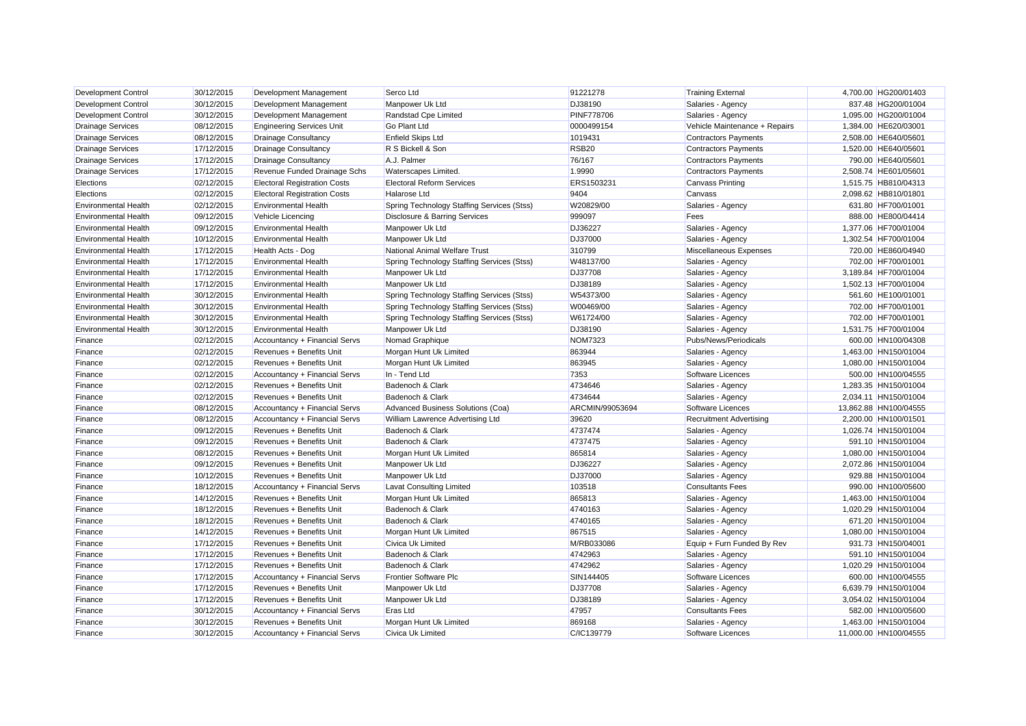| Development Control         | 30/12/2015 | Development Management              | Serco Ltd                                  | 91221278          | <b>Training External</b>       | 4,700.00 HG200/01403  |
|-----------------------------|------------|-------------------------------------|--------------------------------------------|-------------------|--------------------------------|-----------------------|
| <b>Development Control</b>  | 30/12/2015 | Development Management              | Manpower Uk Ltd                            | DJ38190           | Salaries - Agency              | 837.48 HG200/01004    |
| <b>Development Control</b>  | 30/12/2015 | Development Management              | Randstad Cpe Limited                       | <b>PINF778706</b> | Salaries - Agency              | 1,095.00 HG200/01004  |
| <b>Drainage Services</b>    | 08/12/2015 | <b>Engineering Services Unit</b>    | <b>Go Plant Ltd</b>                        | 0000499154        | Vehicle Maintenance + Repairs  | 1,384.00 HE620/03001  |
| <b>Drainage Services</b>    | 08/12/2015 | <b>Drainage Consultancy</b>         | <b>Enfield Skips Ltd</b>                   | 1019431           | <b>Contractors Payments</b>    | 2,508.00 HE640/05601  |
| <b>Drainage Services</b>    | 17/12/2015 | Drainage Consultancy                | R S Bickell & Son                          | <b>RSB20</b>      | <b>Contractors Payments</b>    | 1,520.00 HE640/05601  |
| <b>Drainage Services</b>    | 17/12/2015 | <b>Drainage Consultancy</b>         | A.J. Palmer                                | 76/167            | <b>Contractors Payments</b>    | 790.00 HE640/05601    |
| <b>Drainage Services</b>    | 17/12/2015 | Revenue Funded Drainage Schs        | Waterscapes Limited.                       | 1.9990            | <b>Contractors Payments</b>    | 2.508.74 HE601/05601  |
| Elections                   | 02/12/2015 | <b>Electoral Registration Costs</b> | <b>Electoral Reform Services</b>           | ERS1503231        | <b>Canvass Printing</b>        | 1,515.75 HB810/04313  |
| Elections                   | 02/12/2015 | <b>Electoral Registration Costs</b> | <b>Halarose Ltd</b>                        | 9404              | Canvass                        | 2,098.62 HB810/01801  |
| <b>Environmental Health</b> | 02/12/2015 | <b>Environmental Health</b>         | Spring Technology Staffing Services (Stss) | W20829/00         | Salaries - Agency              | 631.80 HF700/01001    |
| <b>Environmental Health</b> | 09/12/2015 | Vehicle Licencing                   | Disclosure & Barring Services              | 999097            | Fees                           | 888.00 HE800/04414    |
| <b>Environmental Health</b> | 09/12/2015 | <b>Environmental Health</b>         | Manpower Uk Ltd                            | DJ36227           | Salaries - Agency              | 1,377.06 HF700/01004  |
| <b>Environmental Health</b> | 10/12/2015 | <b>Environmental Health</b>         | Manpower Uk Ltd                            | DJ37000           | Salaries - Agency              | 1,302.54 HF700/01004  |
| <b>Environmental Health</b> | 17/12/2015 | Health Acts - Dog                   | National Animal Welfare Trust              | 310799            | Miscellaneous Expenses         | 720.00 HE860/04940    |
| <b>Environmental Health</b> | 17/12/2015 | <b>Environmental Health</b>         | Spring Technology Staffing Services (Stss) | W48137/00         | Salaries - Agency              | 702.00 HF700/01001    |
| <b>Environmental Health</b> | 17/12/2015 | <b>Environmental Health</b>         | Manpower Uk Ltd                            | DJ37708           | Salaries - Agency              | 3,189.84 HF700/01004  |
| <b>Environmental Health</b> | 17/12/2015 | <b>Environmental Health</b>         | Manpower Uk Ltd                            | DJ38189           | Salaries - Agency              | 1,502.13 HF700/01004  |
| <b>Environmental Health</b> | 30/12/2015 | <b>Environmental Health</b>         | Spring Technology Staffing Services (Stss) | W54373/00         | Salaries - Agency              | 561.60 HE100/01001    |
| <b>Environmental Health</b> | 30/12/2015 | <b>Environmental Health</b>         | Spring Technology Staffing Services (Stss) | W00469/00         | Salaries - Agency              | 702.00 HF700/01001    |
| <b>Environmental Health</b> | 30/12/2015 | <b>Environmental Health</b>         | Spring Technology Staffing Services (Stss) | W61724/00         | Salaries - Agency              | 702.00 HF700/01001    |
| <b>Environmental Health</b> | 30/12/2015 | <b>Environmental Health</b>         | Manpower Uk Ltd                            | DJ38190           | Salaries - Agency              | 1,531.75 HF700/01004  |
| Finance                     | 02/12/2015 | Accountancy + Financial Servs       | Nomad Graphique                            | <b>NOM7323</b>    | Pubs/News/Periodicals          | 600.00 HN100/04308    |
| Finance                     | 02/12/2015 | Revenues + Benefits Unit            | Morgan Hunt Uk Limited                     | 863944            | Salaries - Agency              | 1,463.00 HN150/01004  |
| Finance                     | 02/12/2015 | Revenues + Benefits Unit            | Morgan Hunt Uk Limited                     | 863945            | Salaries - Agency              | 1,080.00 HN150/01004  |
| Finance                     | 02/12/2015 | Accountancy + Financial Servs       | In - Tend Ltd                              | 7353              | Software Licences              | 500.00 HN100/04555    |
| Finance                     | 02/12/2015 | Revenues + Benefits Unit            | Badenoch & Clark                           | 4734646           | Salaries - Agency              | 1,283.35 HN150/01004  |
| Finance                     | 02/12/2015 | Revenues + Benefits Unit            | Badenoch & Clark                           | 4734644           | Salaries - Agency              | 2.034.11 HN150/01004  |
| Finance                     | 08/12/2015 | Accountancy + Financial Servs       | Advanced Business Solutions (Coa)          | ARCMIN/99053694   | Software Licences              | 13,862.88 HN100/04555 |
| Finance                     | 08/12/2015 | Accountancy + Financial Servs       | William Lawrence Advertising Ltd           | 39620             | <b>Recruitment Advertising</b> | 2,200.00 HN100/01501  |
| Finance                     | 09/12/2015 | Revenues + Benefits Unit            | Badenoch & Clark                           | 4737474           | Salaries - Agency              | 1,026.74 HN150/01004  |
| Finance                     | 09/12/2015 | Revenues + Benefits Unit            | Badenoch & Clark                           | 4737475           | Salaries - Agency              | 591.10 HN150/01004    |
| Finance                     | 08/12/2015 | Revenues + Benefits Unit            | Morgan Hunt Uk Limited                     | 865814            | Salaries - Agency              | 1,080.00 HN150/01004  |
| Finance                     | 09/12/2015 | Revenues + Benefits Unit            | Manpower Uk Ltd                            | DJ36227           | Salaries - Agency              | 2,072.86 HN150/01004  |
| Finance                     | 10/12/2015 | Revenues + Benefits Unit            | Manpower Uk Ltd                            | DJ37000           | Salaries - Agency              | 929.88 HN150/01004    |
| Finance                     | 18/12/2015 | Accountancy + Financial Servs       | <b>Lavat Consulting Limited</b>            | 103518            | <b>Consultants Fees</b>        | 990.00 HN100/05600    |
| Finance                     | 14/12/2015 | Revenues + Benefits Unit            | Morgan Hunt Uk Limited                     | 865813            | Salaries - Agency              | 1,463.00 HN150/01004  |
| Finance                     | 18/12/2015 | Revenues + Benefits Unit            | Badenoch & Clark                           | 4740163           | Salaries - Agency              | 1,020.29 HN150/01004  |
| Finance                     | 18/12/2015 | Revenues + Benefits Unit            | Badenoch & Clark                           | 4740165           | Salaries - Agency              | 671.20 HN150/01004    |
| Finance                     | 14/12/2015 | Revenues + Benefits Unit            | Morgan Hunt Uk Limited                     | 867515            | Salaries - Agency              | 1,080.00 HN150/01004  |
| Finance                     | 17/12/2015 | Revenues + Benefits Unit            | <b>Civica Uk Limited</b>                   | M/RB033086        | Equip + Furn Funded By Rev     | 931.73 HN150/04001    |
| Finance                     | 17/12/2015 | Revenues + Benefits Unit            | Badenoch & Clark                           | 4742963           | Salaries - Agency              | 591.10 HN150/01004    |
| Finance                     | 17/12/2015 | Revenues + Benefits Unit            | Badenoch & Clark                           | 4742962           | Salaries - Agency              | 1,020.29 HN150/01004  |
| Finance                     | 17/12/2015 | Accountancy + Financial Servs       | <b>Frontier Software Plc</b>               | SIN144405         | Software Licences              | 600.00 HN100/04555    |
| Finance                     | 17/12/2015 | Revenues + Benefits Unit            | Manpower Uk Ltd                            | DJ37708           | Salaries - Agency              | 6,639.79 HN150/01004  |
| Finance                     | 17/12/2015 | Revenues + Benefits Unit            | Manpower Uk Ltd                            | DJ38189           | Salaries - Agency              | 3,054.02 HN150/01004  |
| Finance                     | 30/12/2015 | Accountancy + Financial Servs       | Eras Ltd                                   | 47957             | <b>Consultants Fees</b>        | 582.00 HN100/05600    |
| Finance                     | 30/12/2015 | Revenues + Benefits Unit            | Morgan Hunt Uk Limited                     | 869168            | Salaries - Agency              | 1.463.00 HN150/01004  |
| Finance                     | 30/12/2015 | Accountancy + Financial Servs       | <b>Civica Uk Limited</b>                   | C/IC139779        | Software Licences              | 11.000.00 HN100/04555 |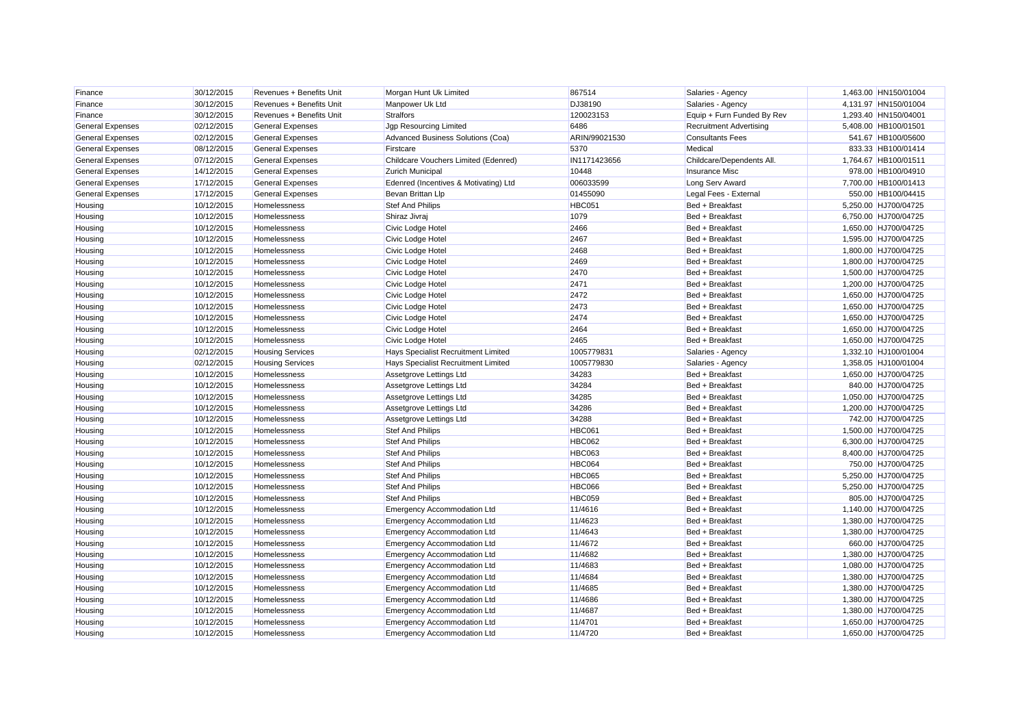| Finance                 | 30/12/2015 | Revenues + Benefits Unit | Morgan Hunt Uk Limited                | 867514        | Salaries - Agency              | 1,463.00 HN150/01004 |
|-------------------------|------------|--------------------------|---------------------------------------|---------------|--------------------------------|----------------------|
| Finance                 | 30/12/2015 | Revenues + Benefits Unit | Manpower Uk Ltd                       | DJ38190       | Salaries - Agency              | 4,131.97 HN150/01004 |
| Finance                 | 30/12/2015 | Revenues + Benefits Unit | <b>Stralfors</b>                      | 120023153     | Equip + Furn Funded By Rev     | 1,293.40 HN150/04001 |
| <b>General Expenses</b> | 02/12/2015 | <b>General Expenses</b>  | Jgp Resourcing Limited                | 6486          | <b>Recruitment Advertising</b> | 5,408.00 HB100/01501 |
| <b>General Expenses</b> | 02/12/2015 | <b>General Expenses</b>  | Advanced Business Solutions (Coa)     | ARIN/99021530 | <b>Consultants Fees</b>        | 541.67 HB100/05600   |
| <b>General Expenses</b> | 08/12/2015 | <b>General Expenses</b>  | Firstcare                             | 5370          | Medical                        | 833.33 HB100/01414   |
| <b>General Expenses</b> | 07/12/2015 | <b>General Expenses</b>  | Childcare Vouchers Limited (Edenred)  | IN1171423656  | Childcare/Dependents All.      | 1,764.67 HB100/01511 |
| <b>General Expenses</b> | 14/12/2015 | <b>General Expenses</b>  | <b>Zurich Municipal</b>               | 10448         | Insurance Misc                 | 978.00 HB100/04910   |
| <b>General Expenses</b> | 17/12/2015 | <b>General Expenses</b>  | Edenred (Incentives & Motivating) Ltd | 006033599     | Long Serv Award                | 7,700.00 HB100/01413 |
| <b>General Expenses</b> | 17/12/2015 | <b>General Expenses</b>  | Bevan Brittan Llp                     | 01455090      | Legal Fees - External          | 550.00 HB100/04415   |
| Housing                 | 10/12/2015 | Homelessness             | <b>Stef And Philips</b>               | <b>HBC051</b> | Bed + Breakfast                | 5.250.00 HJ700/04725 |
| Housing                 | 10/12/2015 | Homelessness             | Shiraz Jivraj                         | 1079          | Bed + Breakfast                | 6,750.00 HJ700/04725 |
| Housing                 | 10/12/2015 | Homelessness             | Civic Lodge Hotel                     | 2466          | Bed + Breakfast                | 1,650.00 HJ700/04725 |
| Housing                 | 10/12/2015 | Homelessness             | Civic Lodge Hotel                     | 2467          | Bed + Breakfast                | 1,595.00 HJ700/04725 |
| Housing                 | 10/12/2015 | Homelessness             | Civic Lodge Hotel                     | 2468          | Bed + Breakfast                | 1,800.00 HJ700/04725 |
| Housing                 | 10/12/2015 | Homelessness             | Civic Lodge Hotel                     | 2469          | Bed + Breakfast                | 1,800.00 HJ700/04725 |
| Housing                 | 10/12/2015 | Homelessness             | Civic Lodge Hotel                     | 2470          | Bed + Breakfast                | 1,500.00 HJ700/04725 |
| Housing                 | 10/12/2015 | Homelessness             | Civic Lodge Hotel                     | 2471          | Bed + Breakfast                | 1,200.00 HJ700/04725 |
| Housing                 | 10/12/2015 | Homelessness             | Civic Lodge Hotel                     | 2472          | Bed + Breakfast                | 1,650.00 HJ700/04725 |
| Housing                 | 10/12/2015 | Homelessness             | Civic Lodge Hotel                     | 2473          | Bed + Breakfast                | 1,650.00 HJ700/04725 |
| Housing                 | 10/12/2015 | Homelessness             | Civic Lodge Hotel                     | 2474          | Bed + Breakfast                | 1,650.00 HJ700/04725 |
| Housing                 | 10/12/2015 | Homelessness             | Civic Lodge Hotel                     | 2464          | Bed + Breakfast                | 1,650.00 HJ700/04725 |
| Housing                 | 10/12/2015 | Homelessness             | Civic Lodge Hotel                     | 2465          | Bed + Breakfast                | 1,650.00 HJ700/04725 |
| Housing                 | 02/12/2015 | <b>Housing Services</b>  | Hays Specialist Recruitment Limited   | 1005779831    | Salaries - Agency              | 1,332.10 HJ100/01004 |
| Housing                 | 02/12/2015 | <b>Housing Services</b>  | Hays Specialist Recruitment Limited   | 1005779830    | Salaries - Agency              | 1,358.05 HJ100/01004 |
| Housing                 | 10/12/2015 | Homelessness             | Assetgrove Lettings Ltd               | 34283         | Bed + Breakfast                | 1,650.00 HJ700/04725 |
| Housing                 | 10/12/2015 | Homelessness             | Assetgrove Lettings Ltd               | 34284         | Bed + Breakfast                | 840.00 HJ700/04725   |
| Housing                 | 10/12/2015 | Homelessness             | Assetgrove Lettings Ltd               | 34285         | Bed + Breakfast                | 1,050.00 HJ700/04725 |
| Housing                 | 10/12/2015 | Homelessness             | Assetgrove Lettings Ltd               | 34286         | Bed + Breakfast                | 1,200.00 HJ700/04725 |
| Housing                 | 10/12/2015 | Homelessness             | Assetgrove Lettings Ltd               | 34288         | Bed + Breakfast                | 742.00 HJ700/04725   |
| Housing                 | 10/12/2015 | Homelessness             | <b>Stef And Philips</b>               | <b>HBC061</b> | Bed + Breakfast                | 1,500.00 HJ700/04725 |
| Housing                 | 10/12/2015 | Homelessness             | <b>Stef And Philips</b>               | <b>HBC062</b> | Bed + Breakfast                | 6,300.00 HJ700/04725 |
| Housing                 | 10/12/2015 | Homelessness             | <b>Stef And Philips</b>               | <b>HBC063</b> | Bed + Breakfast                | 8,400.00 HJ700/04725 |
| Housing                 | 10/12/2015 | Homelessness             | <b>Stef And Philips</b>               | HBC064        | Bed + Breakfast                | 750.00 HJ700/04725   |
| Housing                 | 10/12/2015 | Homelessness             | <b>Stef And Philips</b>               | <b>HBC065</b> | Bed + Breakfast                | 5,250.00 HJ700/04725 |
| Housing                 | 10/12/2015 | Homelessness             | <b>Stef And Philips</b>               | <b>HBC066</b> | Bed + Breakfast                | 5,250.00 HJ700/04725 |
| Housing                 | 10/12/2015 | Homelessness             | <b>Stef And Philips</b>               | <b>HBC059</b> | Bed + Breakfast                | 805.00 HJ700/04725   |
| Housing                 | 10/12/2015 | Homelessness             | <b>Emergency Accommodation Ltd</b>    | 11/4616       | Bed + Breakfast                | 1,140.00 HJ700/04725 |
| Housing                 | 10/12/2015 | Homelessness             | <b>Emergency Accommodation Ltd</b>    | 11/4623       | Bed + Breakfast                | 1,380.00 HJ700/04725 |
| Housing                 | 10/12/2015 | Homelessness             | <b>Emergency Accommodation Ltd</b>    | 11/4643       | Bed + Breakfast                | 1,380.00 HJ700/04725 |
| Housing                 | 10/12/2015 | Homelessness             | <b>Emergency Accommodation Ltd</b>    | 11/4672       | Bed + Breakfast                | 660.00 HJ700/04725   |
| Housing                 | 10/12/2015 | Homelessness             | <b>Emergency Accommodation Ltd</b>    | 11/4682       | Bed + Breakfast                | 1,380.00 HJ700/04725 |
| Housing                 | 10/12/2015 | Homelessness             | <b>Emergency Accommodation Ltd</b>    | 11/4683       | Bed + Breakfast                | 1,080.00 HJ700/04725 |
| Housing                 | 10/12/2015 | Homelessness             | <b>Emergency Accommodation Ltd</b>    | 11/4684       | Bed + Breakfast                | 1,380.00 HJ700/04725 |
| Housing                 | 10/12/2015 | Homelessness             | <b>Emergency Accommodation Ltd</b>    | 11/4685       | Bed + Breakfast                | 1.380.00 HJ700/04725 |
| Housing                 | 10/12/2015 | Homelessness             | Emergency Accommodation Ltd           | 11/4686       | Bed + Breakfast                | 1,380.00 HJ700/04725 |
| Housing                 | 10/12/2015 | Homelessness             | <b>Emergency Accommodation Ltd</b>    | 11/4687       | Bed + Breakfast                | 1,380.00 HJ700/04725 |
| Housing                 | 10/12/2015 | Homelessness             | <b>Emergency Accommodation Ltd</b>    | 11/4701       | Bed + Breakfast                | 1,650.00 HJ700/04725 |
| Housing                 | 10/12/2015 | Homelessness             | <b>Emergency Accommodation Ltd</b>    | 11/4720       | Bed + Breakfast                | 1.650.00 HJ700/04725 |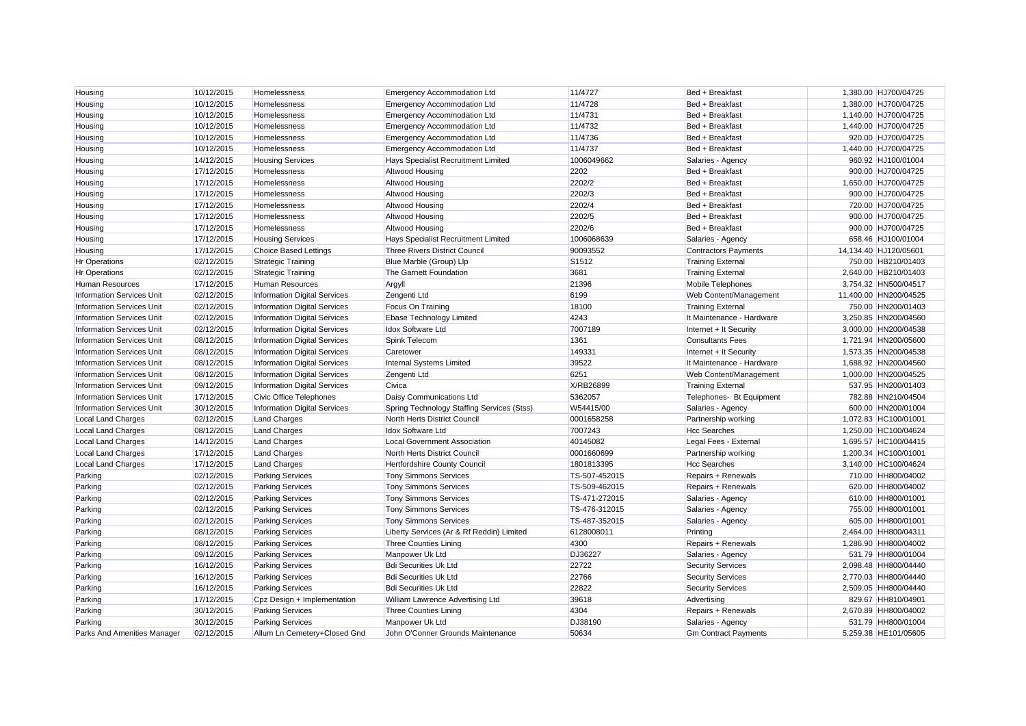| Housing                          | 10/12/2015 | Homelessness                        | Emergency Accommodation Ltd                | 11/4727           | Bed + Breakfast             | 1,380.00 HJ700/04725  |
|----------------------------------|------------|-------------------------------------|--------------------------------------------|-------------------|-----------------------------|-----------------------|
| Housing                          | 10/12/2015 | Homelessness                        | <b>Emergency Accommodation Ltd</b>         | 11/4728           | Bed + Breakfast             | 1,380.00 HJ700/04725  |
| Housing                          | 10/12/2015 | Homelessness                        | <b>Emergency Accommodation Ltd</b>         | 11/4731           | Bed + Breakfast             | 1,140.00 HJ700/04725  |
| Housing                          | 10/12/2015 | Homelessness                        | <b>Emergency Accommodation Ltd</b>         | 11/4732           | Bed + Breakfast             | 1,440.00 HJ700/04725  |
| Housing                          | 10/12/2015 | Homelessness                        | <b>Emergency Accommodation Ltd</b>         | 11/4736           | Bed + Breakfast             | 920.00 HJ700/04725    |
| Housing                          | 10/12/2015 | Homelessness                        | <b>Emergency Accommodation Ltd</b>         | 11/4737           | Bed + Breakfast             | 1,440.00 HJ700/04725  |
| Housing                          | 14/12/2015 | <b>Housing Services</b>             | Hays Specialist Recruitment Limited        | 1006049662        | Salaries - Agency           | 960.92 HJ100/01004    |
| Housing                          | 17/12/2015 | Homelessness                        | Altwood Housing                            | 2202              | Bed + Breakfast             | 900.00 HJ700/04725    |
| Housing                          | 17/12/2015 | Homelessness                        | <b>Altwood Housing</b>                     | 2202/2            | Bed + Breakfast             | 1,650.00 HJ700/04725  |
| Housing                          | 17/12/2015 | Homelessness                        | <b>Altwood Housing</b>                     | 2202/3            | Bed + Breakfast             | 900.00 HJ700/04725    |
| Housing                          | 17/12/2015 | Homelessness                        | <b>Altwood Housing</b>                     | 2202/4            | Bed + Breakfast             | 720.00 HJ700/04725    |
| Housing                          | 17/12/2015 | Homelessness                        | <b>Altwood Housing</b>                     | 2202/5            | Bed + Breakfast             | 900.00 HJ700/04725    |
| Housing                          | 17/12/2015 | Homelessness                        | Altwood Housing                            | 2202/6            | Bed + Breakfast             | 900.00 HJ700/04725    |
| Housing                          | 17/12/2015 | <b>Housing Services</b>             | <b>Hays Specialist Recruitment Limited</b> | 1006068639        | Salaries - Agency           | 658.46 HJ100/01004    |
| Housing                          | 17/12/2015 | <b>Choice Based Lettings</b>        | <b>Three Rivers District Council</b>       | 90093552          | <b>Contractors Payments</b> | 14,134.40 HJ120/05601 |
| <b>Hr Operations</b>             | 02/12/2015 | <b>Strategic Training</b>           | Blue Marble (Group) Llp                    | S <sub>1512</sub> | <b>Training External</b>    | 750.00 HB210/01403    |
| <b>Hr Operations</b>             | 02/12/2015 | <b>Strategic Training</b>           | The Garnett Foundation                     | 3681              | <b>Training External</b>    | 2,640.00 HB210/01403  |
| Human Resources                  | 17/12/2015 | <b>Human Resources</b>              | Argyll                                     | 21396             | Mobile Telephones           | 3,754.32 HN500/04517  |
| <b>Information Services Unit</b> | 02/12/2015 | <b>Information Digital Services</b> | Zengenti Ltd                               | 6199              | Web Content/Management      | 11.400.00 HN200/04525 |
| <b>Information Services Unit</b> | 02/12/2015 | Information Digital Services        | Focus On Training                          | 18100             | <b>Training External</b>    | 750.00 HN200/01403    |
| <b>Information Services Unit</b> | 02/12/2015 | Information Digital Services        | <b>Ebase Technology Limited</b>            | 4243              | It Maintenance - Hardware   | 3,250.85 HN200/04560  |
| <b>Information Services Unit</b> | 02/12/2015 | <b>Information Digital Services</b> | <b>Idox Software Ltd</b>                   | 7007189           | Internet + It Security      | 3,000.00 HN200/04538  |
| <b>Information Services Unit</b> | 08/12/2015 | <b>Information Digital Services</b> | Spink Telecom                              | 1361              | <b>Consultants Fees</b>     | 1,721.94 HN200/05600  |
| <b>Information Services Unit</b> | 08/12/2015 | <b>Information Digital Services</b> | Caretower                                  | 149331            | Internet + It Security      | 1,573.35 HN200/04538  |
| <b>Information Services Unit</b> | 08/12/2015 | <b>Information Digital Services</b> | <b>Internal Systems Limited</b>            | 39522             | It Maintenance - Hardware   | 1,688.92 HN200/04560  |
| <b>Information Services Unit</b> | 08/12/2015 | <b>Information Digital Services</b> | Zengenti Ltd                               | 6251              | Web Content/Management      | 1,000.00 HN200/04525  |
| <b>Information Services Unit</b> | 09/12/2015 | <b>Information Digital Services</b> | Civica                                     | X/RB26899         | <b>Training External</b>    | 537.95 HN200/01403    |
| <b>Information Services Unit</b> | 17/12/2015 | <b>Civic Office Telephones</b>      | Daisy Communications Ltd                   | 5362057           | Telephones- Bt Equipment    | 782.88 HN210/04504    |
| <b>Information Services Unit</b> | 30/12/2015 | <b>Information Digital Services</b> | Spring Technology Staffing Services (Stss) | W54415/00         | Salaries - Agency           | 600.00 HN200/01004    |
| <b>Local Land Charges</b>        | 02/12/2015 | <b>Land Charges</b>                 | North Herts District Council               | 0001658258        | Partnership working         | 1,072.83 HC100/01001  |
| <b>Local Land Charges</b>        | 08/12/2015 | <b>Land Charges</b>                 | <b>Idox Software Ltd</b>                   | 7007243           | <b>Hcc Searches</b>         | 1,250.00 HC100/04624  |
| <b>Local Land Charges</b>        | 14/12/2015 | <b>Land Charges</b>                 | <b>Local Government Association</b>        | 40145082          | Legal Fees - External       | 1,695.57 HC100/04415  |
| Local Land Charges               | 17/12/2015 | <b>Land Charges</b>                 | North Herts District Council               | 0001660699        | Partnership working         | 1,200.34 HC100/01001  |
| <b>Local Land Charges</b>        | 17/12/2015 | <b>Land Charges</b>                 | <b>Hertfordshire County Council</b>        | 1801813395        | <b>Hcc Searches</b>         | 3.140.00 HC100/04624  |
| Parking                          | 02/12/2015 | <b>Parking Services</b>             | <b>Tony Simmons Services</b>               | TS-507-452015     | Repairs + Renewals          | 710.00 HH800/04002    |
| Parking                          | 02/12/2015 | <b>Parking Services</b>             | <b>Tony Simmons Services</b>               | TS-509-462015     | Repairs + Renewals          | 620.00 HH800/04002    |
| Parking                          | 02/12/2015 | <b>Parking Services</b>             | <b>Tony Simmons Services</b>               | TS-471-272015     | Salaries - Agency           | 610.00 HH800/01001    |
| Parking                          | 02/12/2015 | <b>Parking Services</b>             | <b>Tony Simmons Services</b>               | TS-476-312015     | Salaries - Agency           | 755.00 HH800/01001    |
| Parking                          | 02/12/2015 | <b>Parking Services</b>             | <b>Tony Simmons Services</b>               | TS-487-352015     | Salaries - Agency           | 605.00 HH800/01001    |
| Parking                          | 08/12/2015 | <b>Parking Services</b>             | Liberty Services (Ar & Rf Reddin) Limited  | 6128008011        | Printing                    | 2,464.00 HH800/04311  |
| Parking                          | 08/12/2015 | <b>Parking Services</b>             | <b>Three Counties Lining</b>               | 4300              | Repairs + Renewals          | 1,286.90 HH800/04002  |
| Parking                          | 09/12/2015 | <b>Parking Services</b>             | Manpower Uk Ltd                            | DJ36227           | Salaries - Agency           | 531.79 HH800/01004    |
| Parking                          | 16/12/2015 | <b>Parking Services</b>             | <b>Bdi Securities Uk Ltd</b>               | 22722             | <b>Security Services</b>    | 2,098.48 HH800/04440  |
| Parking                          | 16/12/2015 | <b>Parking Services</b>             | <b>Bdi Securities Uk Ltd</b>               | 22766             | <b>Security Services</b>    | 2.770.03 HH800/04440  |
| Parking                          | 16/12/2015 | <b>Parking Services</b>             | <b>Bdi Securities Uk Ltd</b>               | 22822             | <b>Security Services</b>    | 2,509.05 HH800/04440  |
| Parking                          | 17/12/2015 | Cpz Design + Implementation         | William Lawrence Advertising Ltd           | 39618             | Advertising                 | 829.67 HH810/04901    |
| Parking                          | 30/12/2015 | <b>Parking Services</b>             | <b>Three Counties Lining</b>               | 4304              | Repairs + Renewals          | 2,670.89 HH800/04002  |
| Parking                          | 30/12/2015 | <b>Parking Services</b>             | Manpower Uk Ltd                            | DJ38190           | Salaries - Agency           | 531.79 HH800/01004    |
| Parks And Amenities Manager      | 02/12/2015 | Allum Ln Cemetery+Closed Gnd        | John O'Conner Grounds Maintenance          | 50634             | <b>Gm Contract Payments</b> | 5.259.38 HE101/05605  |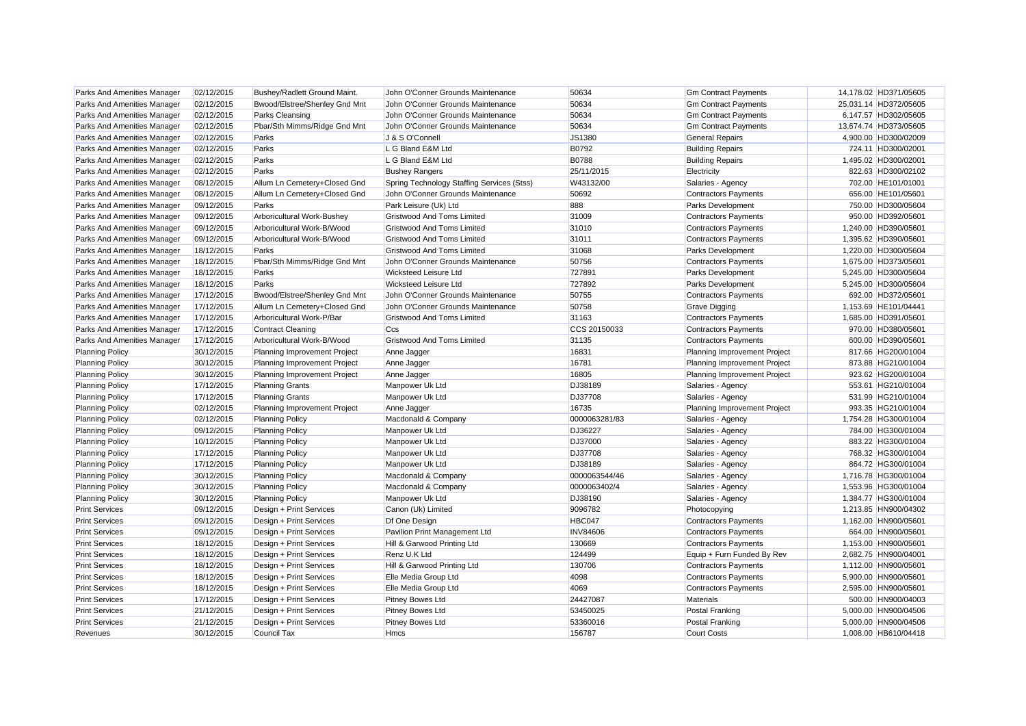| Parks And Amenities Manager        | 02/12/2015 | Bushey/Radlett Ground Maint.  | John O'Conner Grounds Maintenance          | 50634           | <b>Gm Contract Payments</b>  | 14,178.02 HD371/05605 |
|------------------------------------|------------|-------------------------------|--------------------------------------------|-----------------|------------------------------|-----------------------|
| Parks And Amenities Manager        | 02/12/2015 | Bwood/Elstree/Shenley Gnd Mnt | John O'Conner Grounds Maintenance          | 50634           | <b>Gm Contract Payments</b>  | 25,031.14 HD372/05605 |
| Parks And Amenities Manager        | 02/12/2015 | Parks Cleansing               | John O'Conner Grounds Maintenance          | 50634           | <b>Gm Contract Payments</b>  | 6,147.57 HD302/05605  |
| Parks And Amenities Manager        | 02/12/2015 | Pbar/Sth Mimms/Ridge Gnd Mnt  | John O'Conner Grounds Maintenance          | 50634           | <b>Gm Contract Payments</b>  | 13,674.74 HD373/05605 |
| Parks And Amenities Manager        | 02/12/2015 | Parks                         | J & S O'Connell                            | JS1380          | <b>General Repairs</b>       | 4,900.00 HD300/02009  |
| Parks And Amenities Manager        | 02/12/2015 | Parks                         | L G Bland E&M Ltd                          | B0792           | <b>Building Repairs</b>      | 724.11 HD300/02001    |
| Parks And Amenities Manager        | 02/12/2015 | Parks                         | L G Bland E&M Ltd                          | <b>B0788</b>    | <b>Building Repairs</b>      | 1,495.02 HD300/02001  |
| Parks And Amenities Manager        | 02/12/2015 | Parks                         | <b>Bushey Rangers</b>                      | 25/11/2015      | Electricity                  | 822.63 HD300/02102    |
| Parks And Amenities Manager        | 08/12/2015 | Allum Ln Cemetery+Closed Gnd  | Spring Technology Staffing Services (Stss) | W43132/00       | Salaries - Agency            | 702.00 HE101/01001    |
| Parks And Amenities Manager        | 08/12/2015 | Allum Ln Cemetery+Closed Gnd  | John O'Conner Grounds Maintenance          | 50692           | <b>Contractors Payments</b>  | 656.00 HE101/05601    |
| Parks And Amenities Manager        | 09/12/2015 | Parks                         | Park Leisure (Uk) Ltd                      | 888             | Parks Development            | 750.00 HD300/05604    |
| Parks And Amenities Manager        | 09/12/2015 | Arboricultural Work-Bushey    | <b>Gristwood And Toms Limited</b>          | 31009           | <b>Contractors Payments</b>  | 950.00 HD392/05601    |
| Parks And Amenities Manager        | 09/12/2015 | Arboricultural Work-B/Wood    | <b>Gristwood And Toms Limited</b>          | 31010           | <b>Contractors Payments</b>  | 1,240.00 HD390/05601  |
| Parks And Amenities Manager        | 09/12/2015 | Arboricultural Work-B/Wood    | <b>Gristwood And Toms Limited</b>          | 31011           | <b>Contractors Payments</b>  | 1,395.62 HD390/05601  |
| Parks And Amenities Manager        | 18/12/2015 | Parks                         | <b>Gristwood And Toms Limited</b>          | 31068           | Parks Development            | 1,220.00 HD300/05604  |
| Parks And Amenities Manager        | 18/12/2015 | Pbar/Sth Mimms/Ridge Gnd Mnt  | John O'Conner Grounds Maintenance          | 50756           | <b>Contractors Payments</b>  | 1,675.00 HD373/05601  |
| <b>Parks And Amenities Manager</b> | 18/12/2015 | Parks                         | <b>Wicksteed Leisure Ltd</b>               | 727891          | Parks Development            | 5,245.00 HD300/05604  |
| Parks And Amenities Manager        | 18/12/2015 | Parks                         | <b>Wicksteed Leisure Ltd</b>               | 727892          | Parks Development            | 5,245.00 HD300/05604  |
| Parks And Amenities Manager        | 17/12/2015 | Bwood/Elstree/Shenley Gnd Mnt | John O'Conner Grounds Maintenance          | 50755           | <b>Contractors Payments</b>  | 692.00 HD372/05601    |
| Parks And Amenities Manager        | 17/12/2015 | Allum Ln Cemetery+Closed Gnd  | John O'Conner Grounds Maintenance          | 50758           | Grave Digging                | 1,153.69 HE101/04441  |
| Parks And Amenities Manager        | 17/12/2015 | Arboricultural Work-P/Bar     | <b>Gristwood And Toms Limited</b>          | 31163           | <b>Contractors Payments</b>  | 1,685.00 HD391/05601  |
| Parks And Amenities Manager        | 17/12/2015 | <b>Contract Cleaning</b>      | Ccs                                        | CCS 20150033    | <b>Contractors Payments</b>  | 970.00 HD380/05601    |
| Parks And Amenities Manager        | 17/12/2015 | Arboricultural Work-B/Wood    | <b>Gristwood And Toms Limited</b>          | 31135           | <b>Contractors Payments</b>  | 600.00 HD390/05601    |
| <b>Planning Policy</b>             | 30/12/2015 | Planning Improvement Project  | Anne Jagger                                | 16831           | Planning Improvement Project | 817.66 HG200/01004    |
| <b>Planning Policy</b>             | 30/12/2015 | Planning Improvement Project  | Anne Jagger                                | 16781           | Planning Improvement Project | 873.88 HG210/01004    |
| <b>Planning Policy</b>             | 30/12/2015 | Planning Improvement Project  | Anne Jagger                                | 16805           | Planning Improvement Project | 923.62 HG200/01004    |
| <b>Planning Policy</b>             | 17/12/2015 | <b>Planning Grants</b>        | Manpower Uk Ltd                            | DJ38189         | Salaries - Agency            | 553.61 HG210/01004    |
| <b>Planning Policy</b>             | 17/12/2015 | <b>Planning Grants</b>        | Manpower Uk Ltd                            | DJ37708         | Salaries - Agency            | 531.99 HG210/01004    |
| <b>Planning Policy</b>             | 02/12/2015 | Planning Improvement Project  | Anne Jagger                                | 16735           | Planning Improvement Project | 993.35 HG210/01004    |
| <b>Planning Policy</b>             | 02/12/2015 | <b>Planning Policy</b>        | Macdonald & Company                        | 0000063281/83   | Salaries - Agency            | 1,754.28 HG300/01004  |
| <b>Planning Policy</b>             | 09/12/2015 | <b>Planning Policy</b>        | Manpower Uk Ltd                            | DJ36227         | Salaries - Agency            | 784.00 HG300/01004    |
| <b>Planning Policy</b>             | 10/12/2015 | <b>Planning Policy</b>        | Manpower Uk Ltd                            | DJ37000         | Salaries - Agency            | 883.22 HG300/01004    |
| <b>Planning Policy</b>             | 17/12/2015 | <b>Planning Policy</b>        | Manpower Uk Ltd                            | DJ37708         | Salaries - Agency            | 768.32 HG300/01004    |
| <b>Planning Policy</b>             | 17/12/2015 | <b>Planning Policy</b>        | Manpower Uk Ltd                            | DJ38189         | Salaries - Agency            | 864.72 HG300/01004    |
| <b>Planning Policy</b>             | 30/12/2015 | <b>Planning Policy</b>        | Macdonald & Company                        | 0000063544/46   | Salaries - Agency            | 1,716.78 HG300/01004  |
| <b>Planning Policy</b>             | 30/12/2015 | <b>Planning Policy</b>        | Macdonald & Company                        | 0000063402/4    | Salaries - Agency            | 1,553.96 HG300/01004  |
| <b>Planning Policy</b>             | 30/12/2015 | <b>Planning Policy</b>        | Manpower Uk Ltd                            | DJ38190         | Salaries - Agency            | 1,384.77 HG300/01004  |
| <b>Print Services</b>              | 09/12/2015 | Design + Print Services       | Canon (Uk) Limited                         | 9096782         | Photocopying                 | 1,213.85 HN900/04302  |
| <b>Print Services</b>              | 09/12/2015 | Design + Print Services       | Df One Design                              | HBC047          | <b>Contractors Payments</b>  | 1,162.00 HN900/05601  |
| <b>Print Services</b>              | 09/12/2015 | Design + Print Services       | Pavilion Print Management Ltd              | <b>INV84606</b> | <b>Contractors Payments</b>  | 664.00 HN900/05601    |
| <b>Print Services</b>              | 18/12/2015 | Design + Print Services       | Hill & Garwood Printing Ltd                | 130669          | <b>Contractors Payments</b>  | 1,153.00 HN900/05601  |
| <b>Print Services</b>              | 18/12/2015 | Design + Print Services       | Renz U.K Ltd                               | 124499          | Equip + Furn Funded By Rev   | 2,682.75 HN900/04001  |
| <b>Print Services</b>              | 18/12/2015 | Design + Print Services       | Hill & Garwood Printing Ltd                | 130706          | <b>Contractors Payments</b>  | 1,112.00 HN900/05601  |
| <b>Print Services</b>              | 18/12/2015 | Design + Print Services       | Elle Media Group Ltd                       | 4098            | <b>Contractors Payments</b>  | 5,900.00 HN900/05601  |
| <b>Print Services</b>              | 18/12/2015 | Design + Print Services       | Elle Media Group Ltd                       | 4069            | <b>Contractors Payments</b>  | 2.595.00 HN900/05601  |
| <b>Print Services</b>              | 17/12/2015 | Design + Print Services       | Pitney Bowes Ltd                           | 24427087        | <b>Materials</b>             | 500.00 HN900/04003    |
| <b>Print Services</b>              | 21/12/2015 | Design + Print Services       | Pitney Bowes Ltd                           | 53450025        | Postal Franking              | 5,000.00 HN900/04506  |
| <b>Print Services</b>              | 21/12/2015 | Design + Print Services       | Pitney Bowes Ltd                           | 53360016        | Postal Franking              | 5.000.00 HN900/04506  |
| Revenues                           | 30/12/2015 | <b>Council Tax</b>            | <b>Hmcs</b>                                | 156787          | <b>Court Costs</b>           | 1.008.00 HB610/04418  |